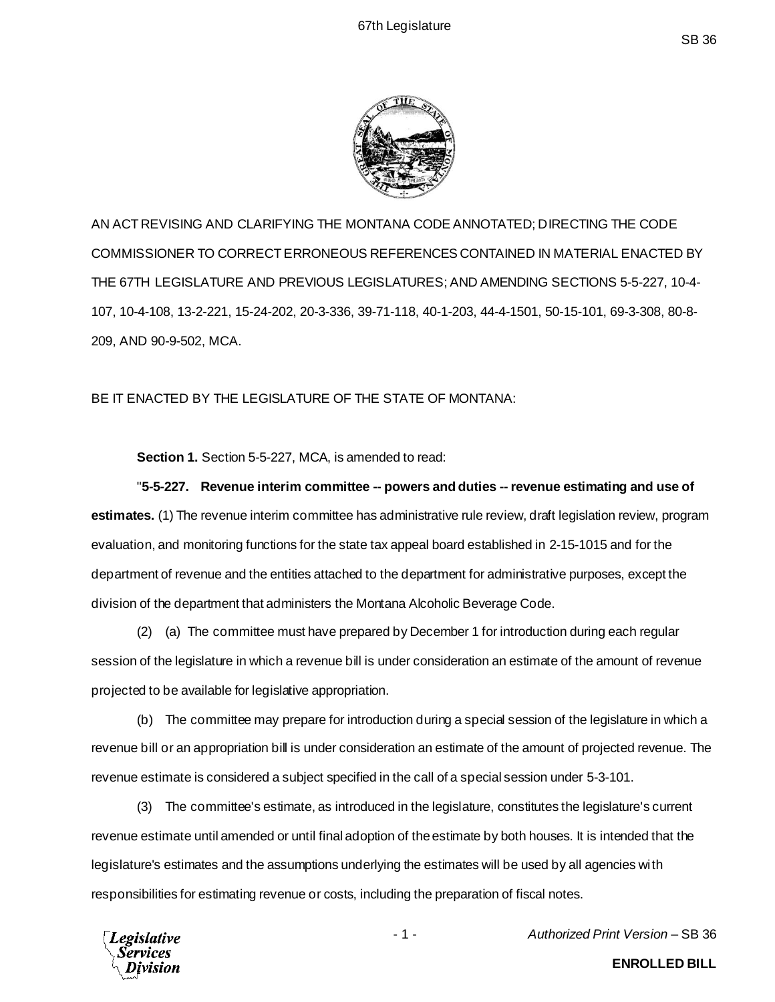

AN ACT REVISING AND CLARIFYING THE MONTANA CODE ANNOTATED; DIRECTING THE CODE COMMISSIONER TO CORRECT ERRONEOUS REFERENCES CONTAINED IN MATERIAL ENACTED BY THE 67TH LEGISLATURE AND PREVIOUS LEGISLATURES; AND AMENDING SECTIONS 5-5-227, 10-4- 107, 10-4-108, 13-2-221, 15-24-202, 20-3-336, 39-71-118, 40-1-203, 44-4-1501, 50-15-101, 69-3-308, 80-8- 209, AND 90-9-502, MCA.

BE IT ENACTED BY THE LEGISLATURE OF THE STATE OF MONTANA:

**Section 1.** Section 5-5-227, MCA, is amended to read:

"**5-5-227. Revenue interim committee -- powers and duties -- revenue estimating and use of estimates.** (1) The revenue interim committee has administrative rule review, draft legislation review, program evaluation, and monitoring functions for the state tax appeal board established in 2-15-1015 and for the department of revenue and the entities attached to the department for administrative purposes, except the division of the department that administers the Montana Alcoholic Beverage Code.

(2) (a) The committee must have prepared by December 1 for introduction during each regular session of the legislature in which a revenue bill is under consideration an estimate of the amount of revenue projected to be available for legislative appropriation.

(b) The committee may prepare for introduction during a special session of the legislature in which a revenue bill or an appropriation bill is under consideration an estimate of the amount of projected revenue. The revenue estimate is considered a subject specified in the call of a special session under 5-3-101.

(3) The committee's estimate, as introduced in the legislature, constitutes the legislature's current revenue estimate until amended or until final adoption of the estimate by both houses. It is intended that the legislature's estimates and the assumptions underlying the estimates will be used by all agencies with responsibilities for estimating revenue or costs, including the preparation of fiscal notes.



- 1 - *Authorized Print Version* – SB 36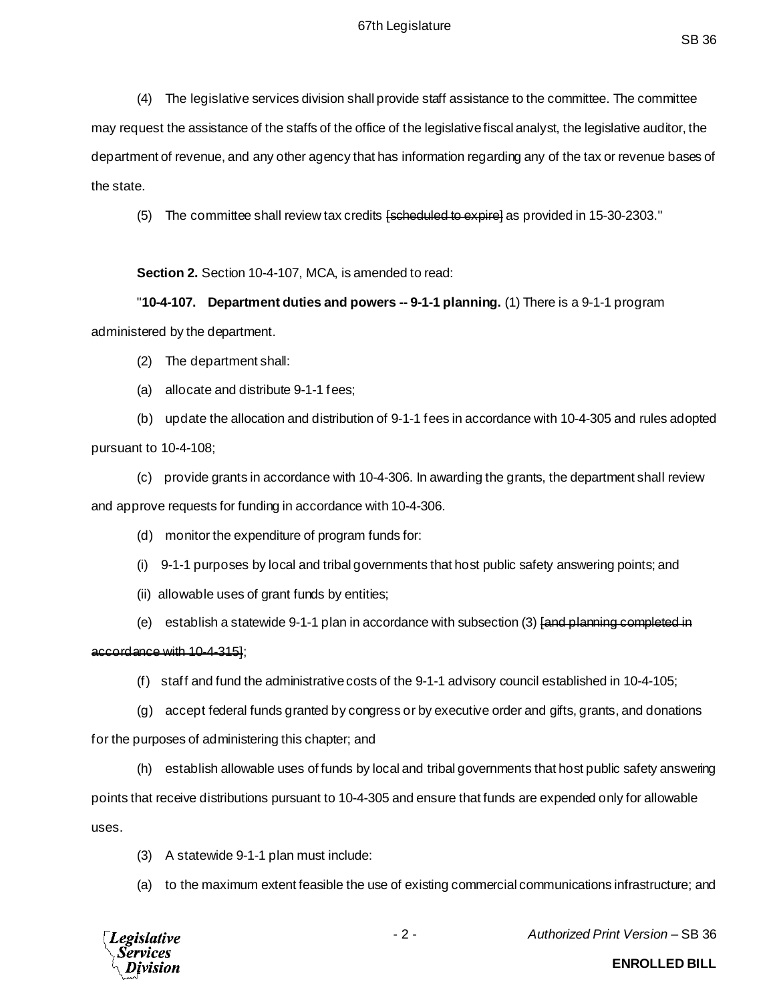(4) The legislative services division shall provide staff assistance to the committee. The committee may request the assistance of the staffs of the office of the legislative fiscal analyst, the legislative auditor, the department of revenue, and any other agency that has information regarding any of the tax or revenue bases of the state.

(5) The committee shall review tax credits [scheduled to expire] as provided in 15-30-2303."

**Section 2.** Section 10-4-107, MCA, is amended to read:

"**10-4-107. Department duties and powers -- 9-1-1 planning.** (1) There is a 9-1-1 program administered by the department.

(2) The department shall:

(a) allocate and distribute 9-1-1 fees;

(b) update the allocation and distribution of 9-1-1 fees in accordance with 10-4-305 and rules adopted pursuant to 10-4-108;

(c) provide grants in accordance with 10-4-306. In awarding the grants, the department shall review and approve requests for funding in accordance with 10-4-306.

(d) monitor the expenditure of program funds for:

- (i) 9-1-1 purposes by local and tribal governments that host public safety answering points; and
- (ii) allowable uses of grant funds by entities;
- (e) establish a statewide 9-1-1 plan in accordance with subsection (3) [and planning completed in

#### accordance with 10-4-315];

- (f) staff and fund the administrative costs of the 9-1-1 advisory council established in 10-4-105;
- (g) accept federal funds granted by congress or by executive order and gifts, grants, and donations

for the purposes of administering this chapter; and

(h) establish allowable uses of funds by local and tribal governments that host public safety answering

points that receive distributions pursuant to 10-4-305 and ensure that funds are expended only for allowable uses.

- (3) A statewide 9-1-1 plan must include:
- (a) to the maximum extent feasible the use of existing commercial communications infrastructure; and



- 2 - *Authorized Print Version* – SB 36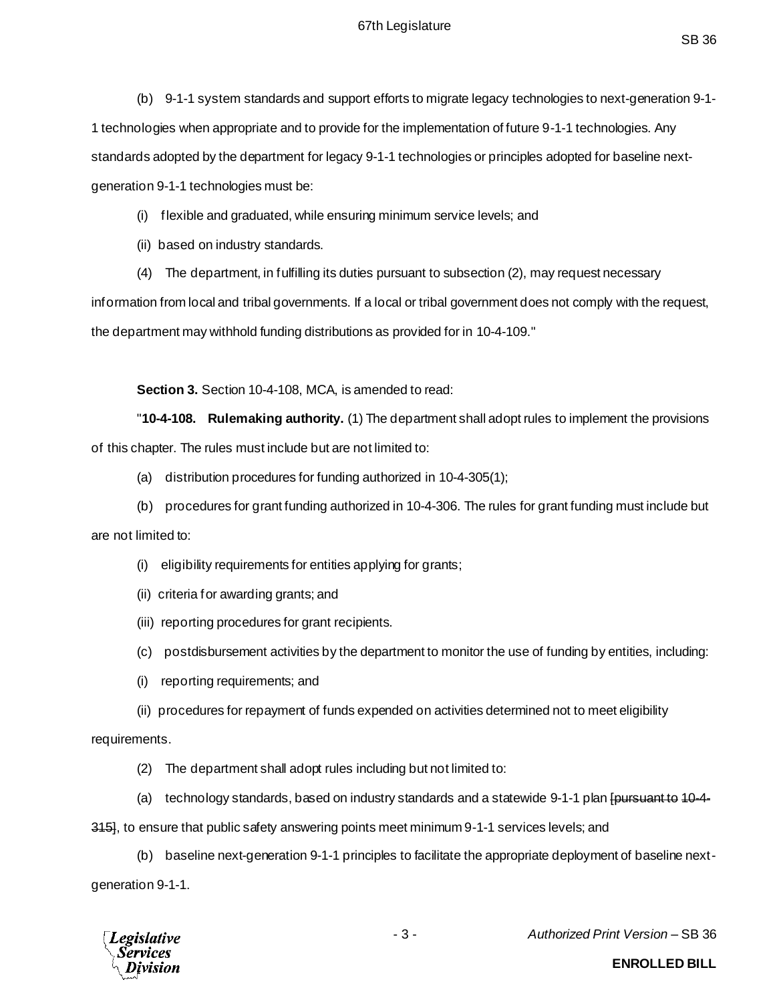(b) 9-1-1 system standards and support efforts to migrate legacy technologies to next-generation 9-1- 1 technologies when appropriate and to provide for the implementation of future 9-1-1 technologies. Any standards adopted by the department for legacy 9-1-1 technologies or principles adopted for baseline nextgeneration 9-1-1 technologies must be:

(i) flexible and graduated, while ensuring minimum service levels; and

(ii) based on industry standards.

(4) The department, in fulfilling its duties pursuant to subsection (2), may request necessary

information from local and tribal governments. If a local or tribal government does not comply with the request, the department may withhold funding distributions as provided for in 10-4-109."

**Section 3.** Section 10-4-108, MCA, is amended to read:

"**10-4-108. Rulemaking authority.** (1) The department shall adopt rules to implement the provisions of this chapter. The rules must include but are not limited to:

- (a) distribution procedures for funding authorized in 10-4-305(1);
- (b) procedures for grant funding authorized in 10-4-306. The rules for grant funding must include but

are not limited to:

- (i) eligibility requirements for entities applying for grants;
- (ii) criteria for awarding grants; and
- (iii) reporting procedures for grant recipients.
- (c) postdisbursement activities by the department to monitor the use of funding by entities, including:
- (i) reporting requirements; and
- (ii) procedures for repayment of funds expended on activities determined not to meet eligibility

requirements.

- (2) The department shall adopt rules including but not limited to:
- (a) technology standards, based on industry standards and a statewide 9-1-1 plan [pursuant to 10-4-

315], to ensure that public safety answering points meet minimum 9-1-1 services levels; and

(b) baseline next-generation 9-1-1 principles to facilitate the appropriate deployment of baseline nextgeneration 9-1-1.



- 3 - *Authorized Print Version* – SB 36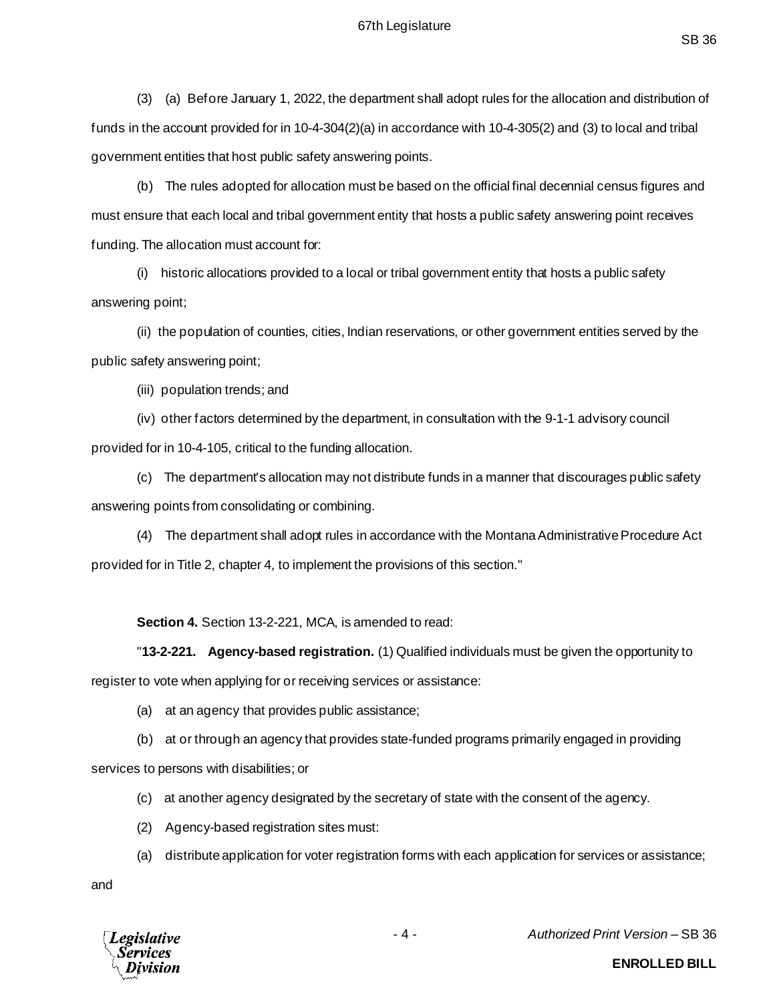(3) (a) Before January 1, 2022, the department shall adopt rules for the allocation and distribution of funds in the account provided for in 10-4-304(2)(a) in accordance with 10-4-305(2) and (3) to local and tribal government entities that host public safety answering points.

(b) The rules adopted for allocation must be based on the official final decennial census figures and must ensure that each local and tribal government entity that hosts a public safety answering point receives funding. The allocation must account for:

(i) historic allocations provided to a local or tribal government entity that hosts a public safety answering point;

(ii) the population of counties, cities, Indian reservations, or other government entities served by the public safety answering point;

(iii) population trends; and

(iv) other factors determined by the department, in consultation with the 9-1-1 advisory council provided for in 10-4-105, critical to the funding allocation.

(c) The department's allocation may not distribute funds in a manner that discourages public safety answering points from consolidating or combining.

(4) The department shall adopt rules in accordance with the Montana Administrative Procedure Act provided for in Title 2, chapter 4, to implement the provisions of this section."

### **Section 4.** Section 13-2-221, MCA, is amended to read:

"**13-2-221. Agency-based registration.** (1) Qualified individuals must be given the opportunity to register to vote when applying for or receiving services or assistance:

(a) at an agency that provides public assistance;

(b) at or through an agency that provides state-funded programs primarily engaged in providing

services to persons with disabilities; or

- (c) at another agency designated by the secretary of state with the consent of the agency.
- (2) Agency-based registration sites must:
- (a) distribute application for voter registration forms with each application for services or assistance;

and



- 4 - *Authorized Print Version* – SB 36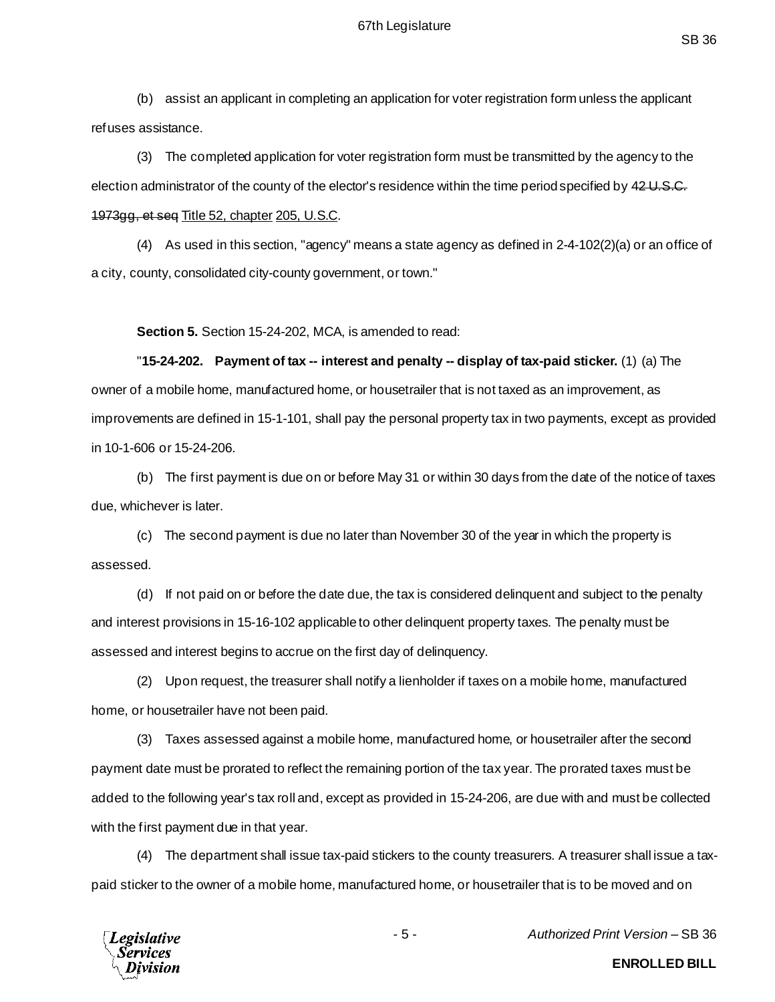(b) assist an applicant in completing an application for voter registration form unless the applicant refuses assistance.

(3) The completed application for voter registration form must be transmitted by the agency to the election administrator of the county of the elector's residence within the time period specified by 42 U.S.C. 1973gg, et seq Title 52, chapter 205, U.S.C.

(4) As used in this section, "agency" means a state agency as defined in 2-4-102(2)(a) or an office of a city, county, consolidated city-county government, or town."

**Section 5.** Section 15-24-202, MCA, is amended to read:

"**15-24-202. Payment of tax -- interest and penalty -- display of tax-paid sticker.** (1) (a) The owner of a mobile home, manufactured home, or housetrailer that is not taxed as an improvement, as improvements are defined in 15-1-101, shall pay the personal property tax in two payments, except as provided in 10-1-606 or 15-24-206.

(b) The first payment is due on or before May 31 or within 30 days from the date of the notice of taxes due, whichever is later.

(c) The second payment is due no later than November 30 of the year in which the property is assessed.

(d) If not paid on or before the date due, the tax is considered delinquent and subject to the penalty and interest provisions in 15-16-102 applicable to other delinquent property taxes. The penalty must be assessed and interest begins to accrue on the first day of delinquency.

(2) Upon request, the treasurer shall notify a lienholder if taxes on a mobile home, manufactured home, or housetrailer have not been paid.

(3) Taxes assessed against a mobile home, manufactured home, or housetrailer after the second payment date must be prorated to reflect the remaining portion of the tax year. The prorated taxes must be added to the following year's tax roll and, except as provided in 15-24-206, are due with and must be collected with the first payment due in that year.

(4) The department shall issue tax-paid stickers to the county treasurers. A treasurer shall issue a taxpaid sticker to the owner of a mobile home, manufactured home, or housetrailer that is to be moved and on



- 5 - *Authorized Print Version* – SB 36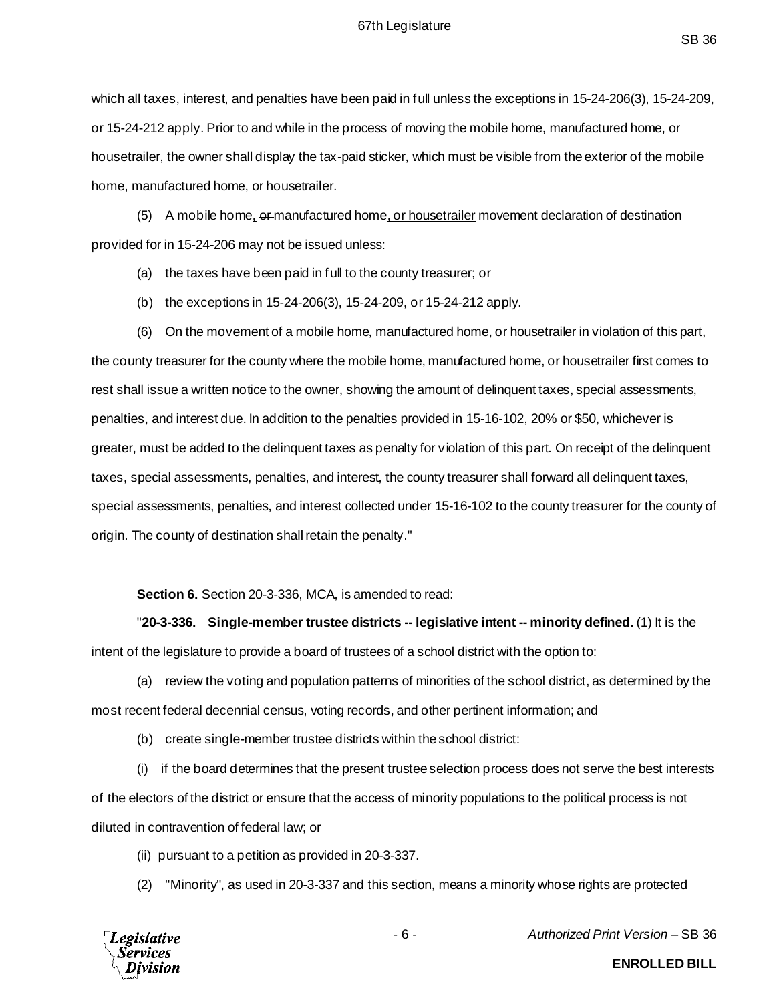which all taxes, interest, and penalties have been paid in full unless the exceptions in 15-24-206(3), 15-24-209, or 15-24-212 apply. Prior to and while in the process of moving the mobile home, manufactured home, or housetrailer, the owner shall display the tax-paid sticker, which must be visible from the exterior of the mobile home, manufactured home, or housetrailer.

(5) A mobile home, or manufactured home, or housetrailer movement declaration of destination provided for in 15-24-206 may not be issued unless:

- (a) the taxes have been paid in full to the county treasurer; or
- (b) the exceptions in 15-24-206(3), 15-24-209, or 15-24-212 apply.

(6) On the movement of a mobile home, manufactured home, or housetrailer in violation of this part, the county treasurer for the county where the mobile home, manufactured home, or housetrailer first comes to rest shall issue a written notice to the owner, showing the amount of delinquent taxes, special assessments, penalties, and interest due. In addition to the penalties provided in 15-16-102, 20% or \$50, whichever is greater, must be added to the delinquent taxes as penalty for violation of this part. On receipt of the delinquent taxes, special assessments, penalties, and interest, the county treasurer shall forward all delinquent taxes, special assessments, penalties, and interest collected under 15-16-102 to the county treasurer for the county of origin. The county of destination shall retain the penalty."

**Section 6.** Section 20-3-336, MCA, is amended to read:

"**20-3-336. Single-member trustee districts -- legislative intent -- minority defined.** (1) It is the intent of the legislature to provide a board of trustees of a school district with the option to:

(a) review the voting and population patterns of minorities of the school district, as determined by the most recent federal decennial census, voting records, and other pertinent information; and

(b) create single-member trustee districts within the school district:

(i) if the board determines that the present trustee selection process does not serve the best interests of the electors of the district or ensure that the access of minority populations to the political process is not diluted in contravention of federal law; or

- (ii) pursuant to a petition as provided in 20-3-337.
- (2) "Minority", as used in 20-3-337 and this section, means a minority whose rights are protected



- 6 - *Authorized Print Version* – SB 36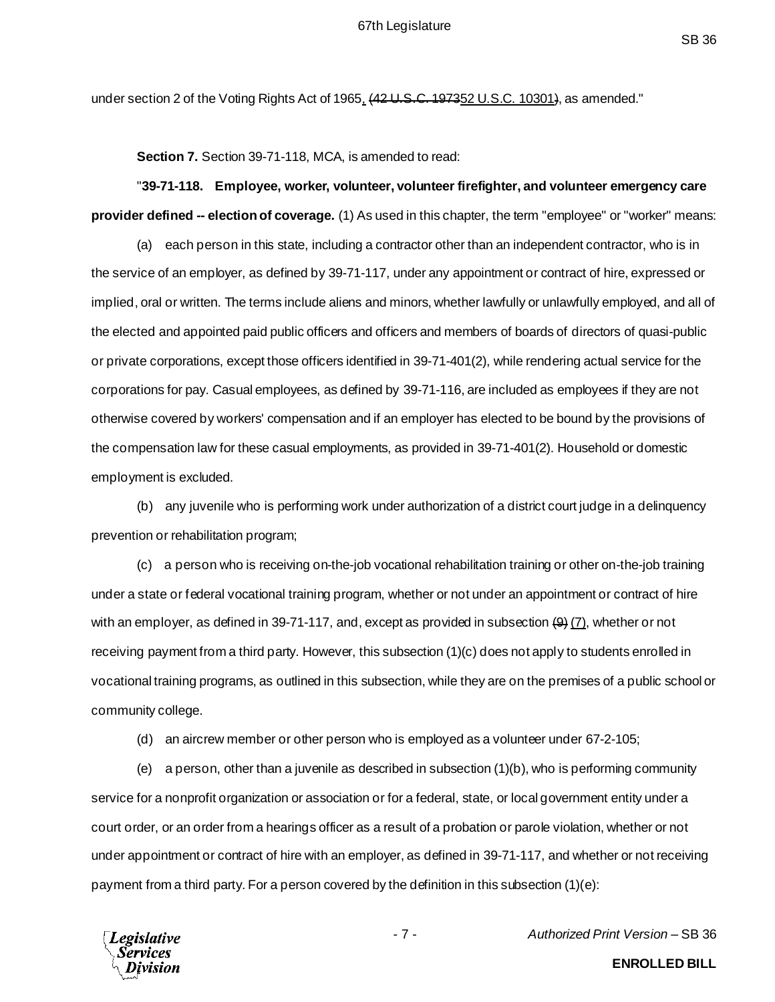under section 2 of the Voting Rights Act of 1965,  $(42 \text{ U.S.C. } 197352 \text{ U.S.C. } 10301)$ , as amended."

**Section 7.** Section 39-71-118, MCA, is amended to read:

# "**39-71-118. Employee, worker, volunteer, volunteer firefighter, and volunteer emergency care provider defined -- election of coverage.** (1) As used in this chapter, the term "employee" or "worker" means:

(a) each person in this state, including a contractor other than an independent contractor, who is in the service of an employer, as defined by 39-71-117, under any appointment or contract of hire, expressed or implied, oral or written. The terms include aliens and minors, whether lawfully or unlawfully employed, and all of the elected and appointed paid public officers and officers and members of boards of directors of quasi-public or private corporations, except those officers identified in 39-71-401(2), while rendering actual service for the corporations for pay. Casual employees, as defined by 39-71-116, are included as employees if they are not otherwise covered by workers' compensation and if an employer has elected to be bound by the provisions of the compensation law for these casual employments, as provided in 39-71-401(2). Household or domestic employment is excluded.

(b) any juvenile who is performing work under authorization of a district court judge in a delinquency prevention or rehabilitation program;

(c) a person who is receiving on-the-job vocational rehabilitation training or other on-the-job training under a state or federal vocational training program, whether or not under an appointment or contract of hire with an employer, as defined in 39-71-117, and, except as provided in subsection  $(9)$   $(7)$ , whether or not receiving payment from a third party. However, this subsection (1)(c) does not apply to students enrolled in vocational training programs, as outlined in this subsection, while they are on the premises of a public school or community college.

(d) an aircrew member or other person who is employed as a volunteer under 67-2-105;

(e) a person, other than a juvenile as described in subsection (1)(b), who is performing community service for a nonprofit organization or association or for a federal, state, or local government entity under a court order, or an order from a hearings officer as a result of a probation or parole violation, whether or not under appointment or contract of hire with an employer, as defined in 39-71-117, and whether or not receiving payment from a third party. For a person covered by the definition in this subsection (1)(e):

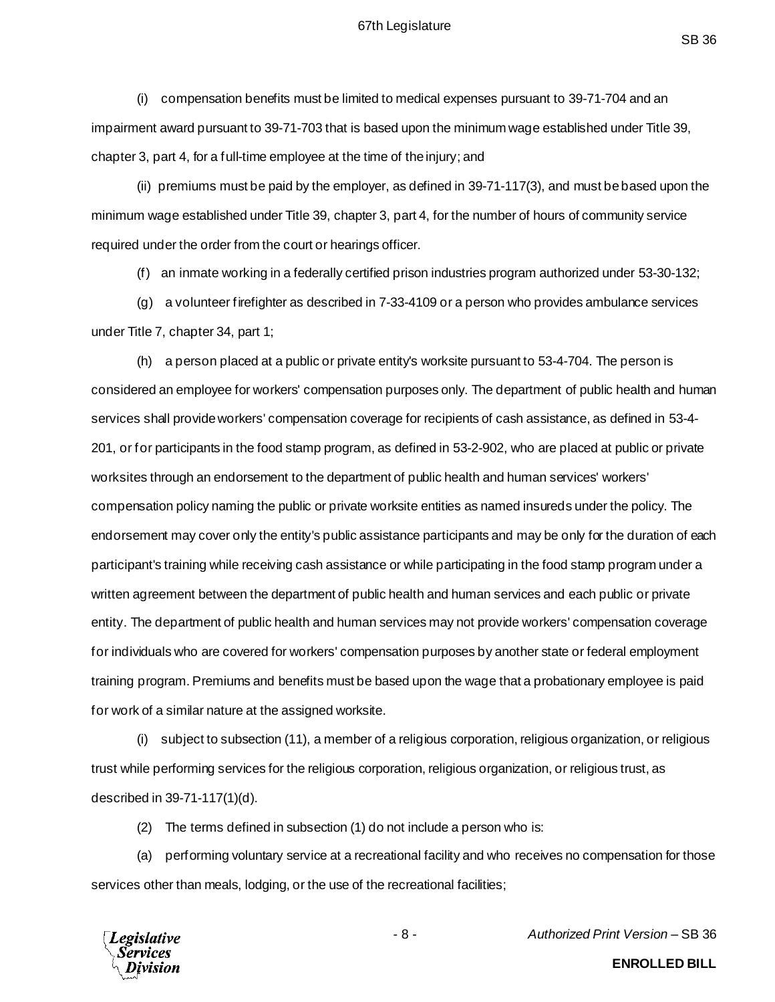#### 67th Legislature

SB 36

(i) compensation benefits must be limited to medical expenses pursuant to 39-71-704 and an impairment award pursuant to 39-71-703 that is based upon the minimum wage established under Title 39, chapter 3, part 4, for a full-time employee at the time of the injury; and

(ii) premiums must be paid by the employer, as defined in 39-71-117(3), and must be based upon the minimum wage established under Title 39, chapter 3, part 4, for the number of hours of community service required under the order from the court or hearings officer.

(f) an inmate working in a federally certified prison industries program authorized under 53-30-132;

(g) a volunteer firefighter as described in 7-33-4109 or a person who provides ambulance services under Title 7, chapter 34, part 1;

(h) a person placed at a public or private entity's worksite pursuant to 53-4-704. The person is considered an employee for workers' compensation purposes only. The department of public health and human services shall provide workers' compensation coverage for recipients of cash assistance, as defined in 53-4- 201, or for participants in the food stamp program, as defined in 53-2-902, who are placed at public or private worksites through an endorsement to the department of public health and human services' workers' compensation policy naming the public or private worksite entities as named insureds under the policy. The endorsement may cover only the entity's public assistance participants and may be only for the duration of each participant's training while receiving cash assistance or while participating in the food stamp program under a written agreement between the department of public health and human services and each public or private entity. The department of public health and human services may not provide workers' compensation coverage for individuals who are covered for workers' compensation purposes by another state or federal employment training program. Premiums and benefits must be based upon the wage that a probationary employee is paid for work of a similar nature at the assigned worksite.

(i) subject to subsection (11), a member of a religious corporation, religious organization, or religious trust while performing services for the religious corporation, religious organization, or religious trust, as described in 39-71-117(1)(d).

(2) The terms defined in subsection (1) do not include a person who is:

(a) performing voluntary service at a recreational facility and who receives no compensation for those services other than meals, lodging, or the use of the recreational facilities;

**Legislative** 

- 8 - *Authorized Print Version* – SB 36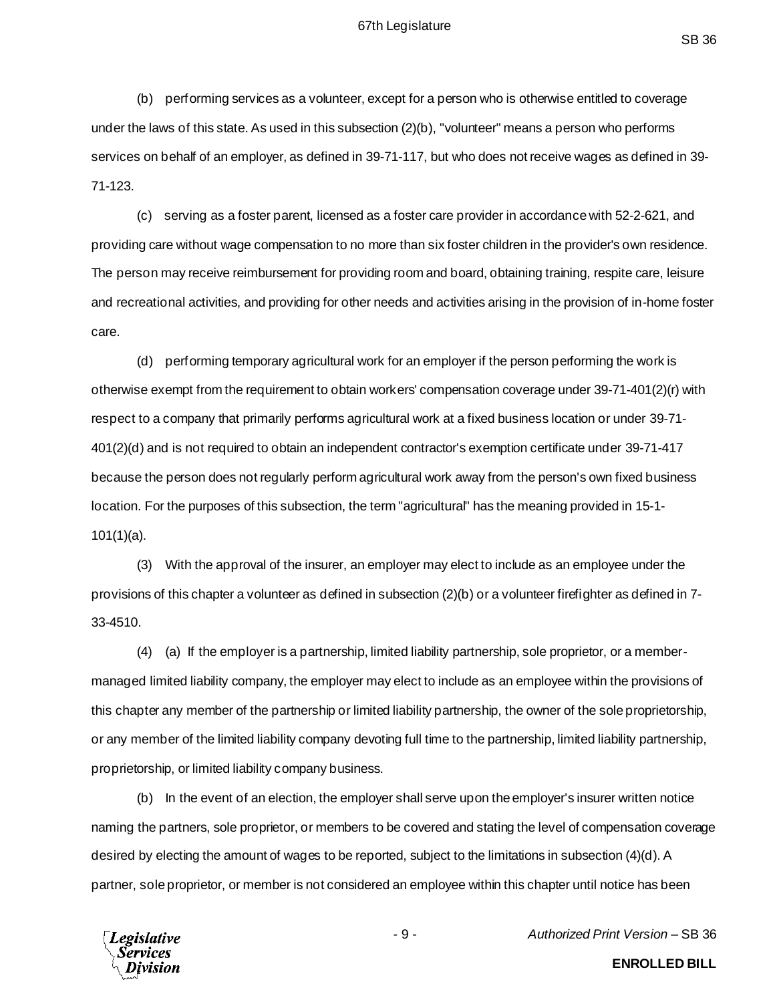(b) performing services as a volunteer, except for a person who is otherwise entitled to coverage under the laws of this state. As used in this subsection (2)(b), "volunteer" means a person who performs services on behalf of an employer, as defined in 39-71-117, but who does not receive wages as defined in 39- 71-123.

(c) serving as a foster parent, licensed as a foster care provider in accordance with 52-2-621, and providing care without wage compensation to no more than six foster children in the provider's own residence. The person may receive reimbursement for providing room and board, obtaining training, respite care, leisure and recreational activities, and providing for other needs and activities arising in the provision of in-home foster care.

(d) performing temporary agricultural work for an employer if the person performing the work is otherwise exempt from the requirement to obtain workers' compensation coverage under 39-71-401(2)(r) with respect to a company that primarily performs agricultural work at a fixed business location or under 39-71- 401(2)(d) and is not required to obtain an independent contractor's exemption certificate under 39-71-417 because the person does not regularly perform agricultural work away from the person's own fixed business location. For the purposes of this subsection, the term "agricultural" has the meaning provided in 15-1- 101(1)(a).

(3) With the approval of the insurer, an employer may elect to include as an employee under the provisions of this chapter a volunteer as defined in subsection (2)(b) or a volunteer firefighter as defined in 7- 33-4510.

(4) (a) If the employer is a partnership, limited liability partnership, sole proprietor, or a membermanaged limited liability company, the employer may elect to include as an employee within the provisions of this chapter any member of the partnership or limited liability partnership, the owner of the sole proprietorship, or any member of the limited liability company devoting full time to the partnership, limited liability partnership, proprietorship, or limited liability company business.

(b) In the event of an election, the employer shall serve upon the employer's insurer written notice naming the partners, sole proprietor, or members to be covered and stating the level of compensation coverage desired by electing the amount of wages to be reported, subject to the limitations in subsection (4)(d). A partner, sole proprietor, or member is not considered an employee within this chapter until notice has been



- 9 - *Authorized Print Version* – SB 36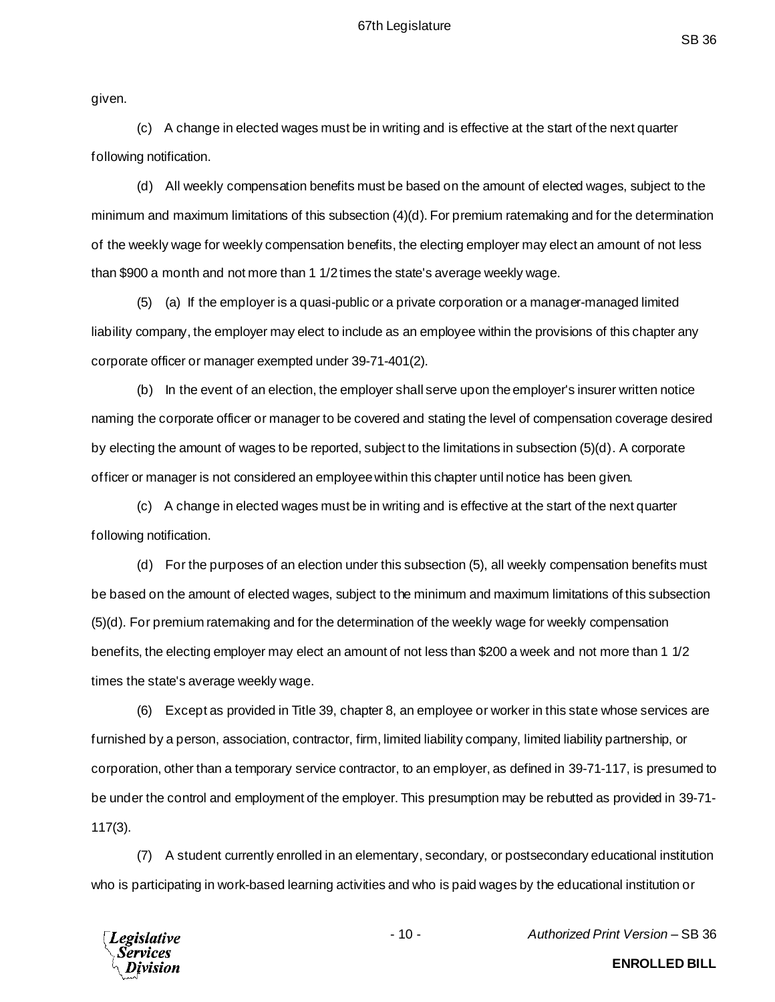given.

(c) A change in elected wages must be in writing and is effective at the start of the next quarter following notification.

(d) All weekly compensation benefits must be based on the amount of elected wages, subject to the minimum and maximum limitations of this subsection (4)(d). For premium ratemaking and for the determination of the weekly wage for weekly compensation benefits, the electing employer may elect an amount of not less than \$900 a month and not more than 1 1/2 times the state's average weekly wage.

(5) (a) If the employer is a quasi-public or a private corporation or a manager-managed limited liability company, the employer may elect to include as an employee within the provisions of this chapter any corporate officer or manager exempted under 39-71-401(2).

(b) In the event of an election, the employer shall serve upon the employer's insurer written notice naming the corporate officer or manager to be covered and stating the level of compensation coverage desired by electing the amount of wages to be reported, subject to the limitations in subsection (5)(d). A corporate officer or manager is not considered an employee within this chapter until notice has been given.

(c) A change in elected wages must be in writing and is effective at the start of the next quarter following notification.

(d) For the purposes of an election under this subsection (5), all weekly compensation benefits must be based on the amount of elected wages, subject to the minimum and maximum limitations of this subsection (5)(d). For premium ratemaking and for the determination of the weekly wage for weekly compensation benefits, the electing employer may elect an amount of not less than \$200 a week and not more than 1 1/2 times the state's average weekly wage.

(6) Except as provided in Title 39, chapter 8, an employee or worker in this state whose services are furnished by a person, association, contractor, firm, limited liability company, limited liability partnership, or corporation, other than a temporary service contractor, to an employer, as defined in 39-71-117, is presumed to be under the control and employment of the employer. This presumption may be rebutted as provided in 39-71- 117(3).

(7) A student currently enrolled in an elementary, secondary, or postsecondary educational institution who is participating in work-based learning activities and who is paid wages by the educational institution or



- 10 - *Authorized Print Version* – SB 36

**ENROLLED BILL**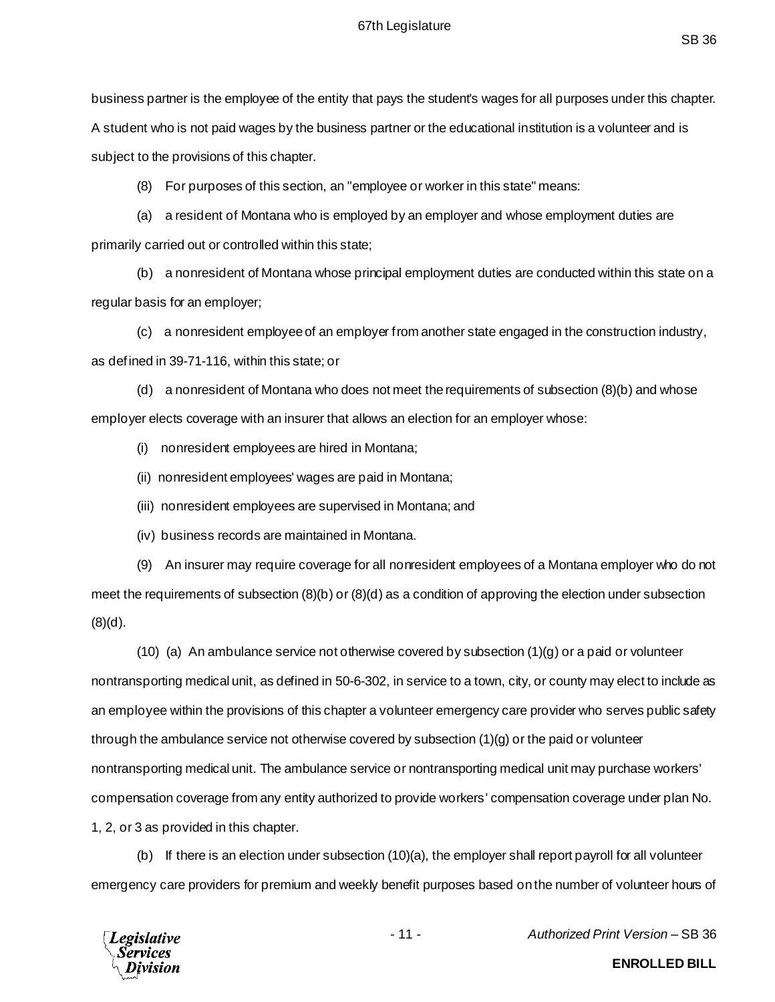business partner is the employee of the entity that pays the student's wages for all purposes under this chapter. A student who is not paid wages by the business partner or the educational institution is a volunteer and is subject to the provisions of this chapter.

(8) For purposes of this section, an "employee or worker in this state" means:

(a) a resident of Montana who is employed by an employer and whose employment duties are primarily carried out or controlled within this state;

(b) a nonresident of Montana whose principal employment duties are conducted within this state on a regular basis for an employer;

(c) a nonresident employee of an employer from another state engaged in the construction industry, as defined in 39-71-116, within this state; or

(d) a nonresident of Montana who does not meet the requirements of subsection (8)(b) and whose employer elects coverage with an insurer that allows an election for an employer whose:

(i) nonresident employees are hired in Montana;

(ii) nonresident employees' wages are paid in Montana;

(iii) nonresident employees are supervised in Montana; and

(iv) business records are maintained in Montana.

(9) An insurer may require coverage for all nonresident employees of a Montana employer who do not meet the requirements of subsection (8)(b) or (8)(d) as a condition of approving the election under subsection (8)(d).

(10) (a) An ambulance service not otherwise covered by subsection  $(1)(g)$  or a paid or volunteer nontransporting medical unit, as defined in 50-6-302, in service to a town, city, or county may elect to include as an employee within the provisions of this chapter a volunteer emergency care provider who serves public safety through the ambulance service not otherwise covered by subsection (1)(g) or the paid or volunteer nontransporting medical unit. The ambulance service or nontransporting medical unit may purchase workers' compensation coverage from any entity authorized to provide workers' compensation coverage under plan No. 1, 2, or 3 as provided in this chapter.

(b) If there is an election under subsection (10)(a), the employer shall report payroll for all volunteer emergency care providers for premium and weekly benefit purposes based on the number of volunteer hours of



- 11 - *Authorized Print Version* – SB 36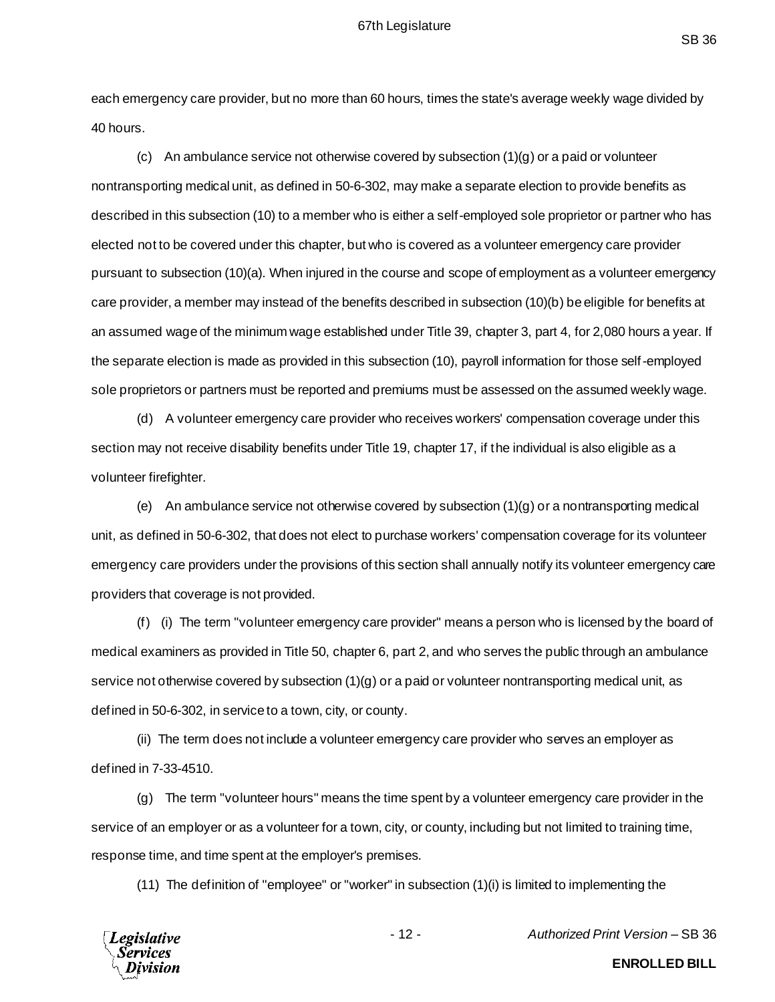each emergency care provider, but no more than 60 hours, times the state's average weekly wage divided by 40 hours.

(c) An ambulance service not otherwise covered by subsection  $(1)(q)$  or a paid or volunteer nontransporting medical unit, as defined in 50-6-302, may make a separate election to provide benefits as described in this subsection (10) to a member who is either a self-employed sole proprietor or partner who has elected not to be covered under this chapter, but who is covered as a volunteer emergency care provider pursuant to subsection (10)(a). When injured in the course and scope of employment as a volunteer emergency care provider, a member may instead of the benefits described in subsection (10)(b) be eligible for benefits at an assumed wage of the minimum wage established under Title 39, chapter 3, part 4, for 2,080 hours a year. If the separate election is made as provided in this subsection (10), payroll information for those self-employed sole proprietors or partners must be reported and premiums must be assessed on the assumed weekly wage.

(d) A volunteer emergency care provider who receives workers' compensation coverage under this section may not receive disability benefits under Title 19, chapter 17, if the individual is also eligible as a volunteer firefighter.

(e) An ambulance service not otherwise covered by subsection (1)(g) or a nontransporting medical unit, as defined in 50-6-302, that does not elect to purchase workers' compensation coverage for its volunteer emergency care providers under the provisions of this section shall annually notify its volunteer emergency care providers that coverage is not provided.

(f) (i) The term "volunteer emergency care provider" means a person who is licensed by the board of medical examiners as provided in Title 50, chapter 6, part 2, and who serves the public through an ambulance service not otherwise covered by subsection (1)(g) or a paid or volunteer nontransporting medical unit, as defined in 50-6-302, in service to a town, city, or county.

(ii) The term does not include a volunteer emergency care provider who serves an employer as defined in 7-33-4510.

(g) The term "volunteer hours" means the time spent by a volunteer emergency care provider in the service of an employer or as a volunteer for a town, city, or county, including but not limited to training time, response time, and time spent at the employer's premises.

(11) The definition of "employee" or "worker" in subsection (1)(i) is limited to implementing the



- 12 - *Authorized Print Version* – SB 36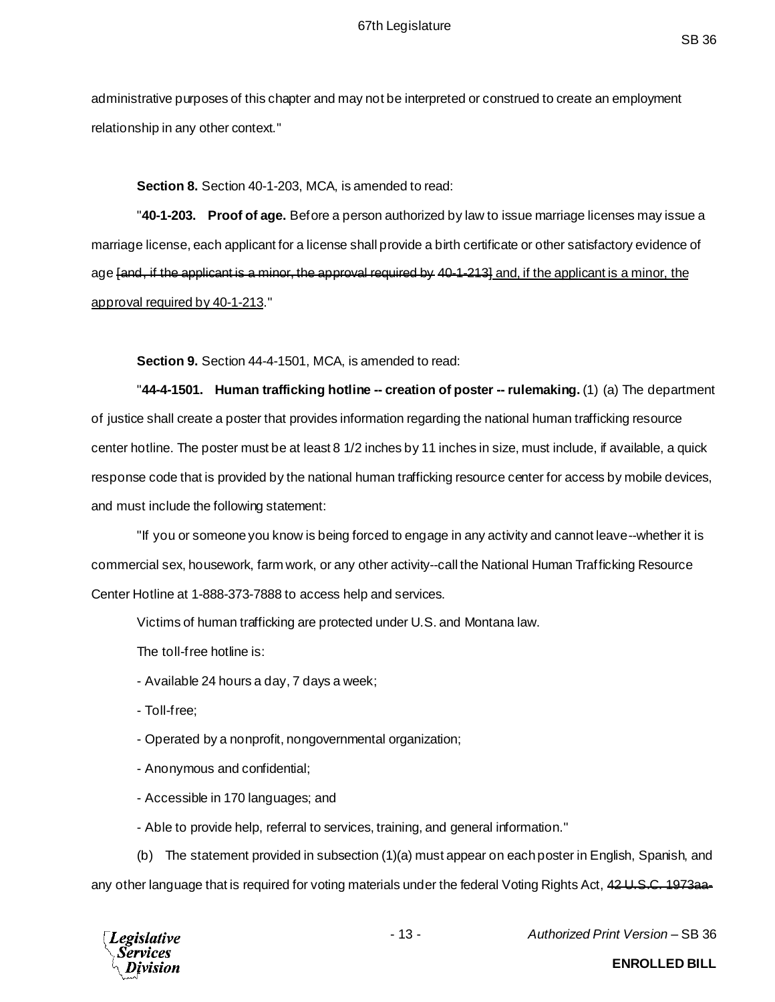administrative purposes of this chapter and may not be interpreted or construed to create an employment relationship in any other context."

#### **Section 8.** Section 40-1-203, MCA, is amended to read:

"**40-1-203. Proof of age.** Before a person authorized by law to issue marriage licenses may issue a marriage license, each applicant for a license shall provide a birth certificate or other satisfactory evidence of age [and, if the applicant is a minor, the approval required by 40-1-213] and, if the applicant is a minor, the approval required by 40-1-213."

**Section 9.** Section 44-4-1501, MCA, is amended to read:

"**44-4-1501. Human trafficking hotline -- creation of poster -- rulemaking.** (1) (a) The department of justice shall create a poster that provides information regarding the national human trafficking resource center hotline. The poster must be at least 8 1/2 inches by 11 inches in size, must include, if available, a quick response code that is provided by the national human trafficking resource center for access by mobile devices, and must include the following statement:

"If you or someone you know is being forced to engage in any activity and cannot leave--whether it is commercial sex, housework, farm work, or any other activity--call the National Human Trafficking Resource Center Hotline at 1-888-373-7888 to access help and services.

Victims of human trafficking are protected under U.S. and Montana law.

The toll-free hotline is:

- Available 24 hours a day, 7 days a week;
- Toll-free;
- Operated by a nonprofit, nongovernmental organization;
- Anonymous and confidential;
- Accessible in 170 languages; and
- Able to provide help, referral to services, training, and general information."

(b) The statement provided in subsection (1)(a) must appear on each poster in English, Spanish, and any other language that is required for voting materials under the federal Voting Rights Act, 42 U.S.C. 1973aa-



- 13 - *Authorized Print Version* – SB 36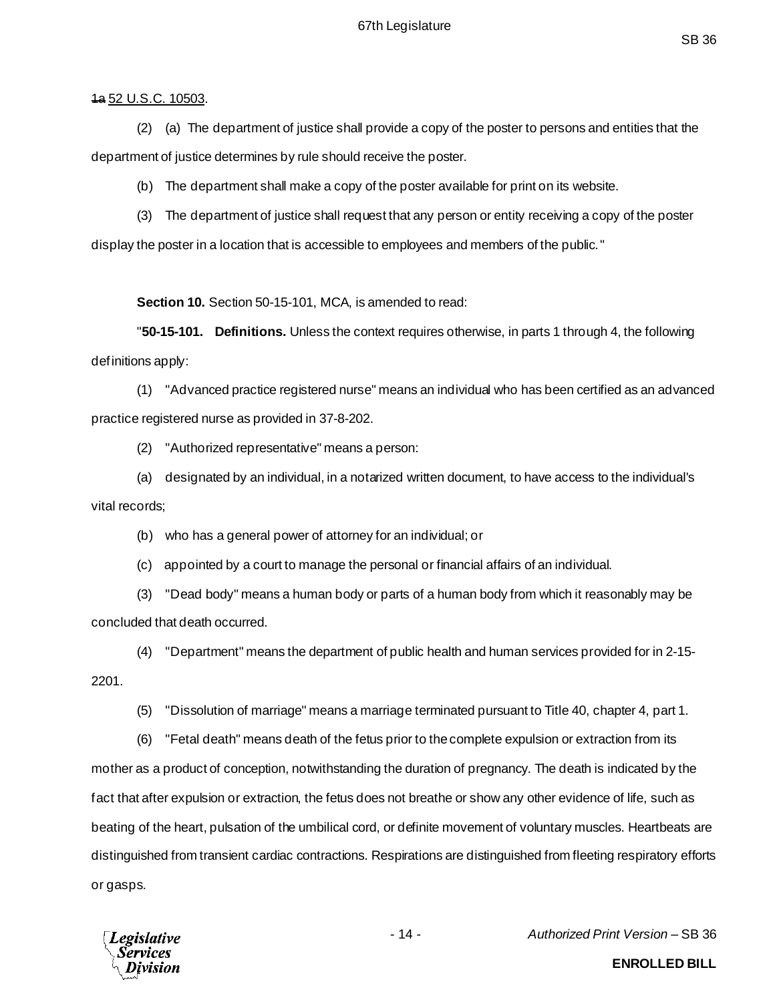#### 1a 52 U.S.C. 10503.

(2) (a) The department of justice shall provide a copy of the poster to persons and entities that the department of justice determines by rule should receive the poster.

(b) The department shall make a copy of the poster available for print on its website.

(3) The department of justice shall request that any person or entity receiving a copy of the poster display the poster in a location that is accessible to employees and members of the public."

**Section 10.** Section 50-15-101, MCA, is amended to read:

"**50-15-101. Definitions.** Unless the context requires otherwise, in parts 1 through 4, the following definitions apply:

(1) "Advanced practice registered nurse" means an individual who has been certified as an advanced practice registered nurse as provided in 37-8-202.

(2) "Authorized representative" means a person:

(a) designated by an individual, in a notarized written document, to have access to the individual's vital records;

(b) who has a general power of attorney for an individual; or

(c) appointed by a court to manage the personal or financial affairs of an individual.

(3) "Dead body" means a human body or parts of a human body from which it reasonably may be concluded that death occurred.

(4) "Department" means the department of public health and human services provided for in 2-15- 2201.

(5) "Dissolution of marriage" means a marriage terminated pursuant to Title 40, chapter 4, part 1.

(6) "Fetal death" means death of the fetus prior to the complete expulsion or extraction from its mother as a product of conception, notwithstanding the duration of pregnancy. The death is indicated by the fact that after expulsion or extraction, the fetus does not breathe or show any other evidence of life, such as beating of the heart, pulsation of the umbilical cord, or definite movement of voluntary muscles. Heartbeats are distinguished from transient cardiac contractions. Respirations are distinguished from fleeting respiratory efforts or gasps.



- 14 - *Authorized Print Version* – SB 36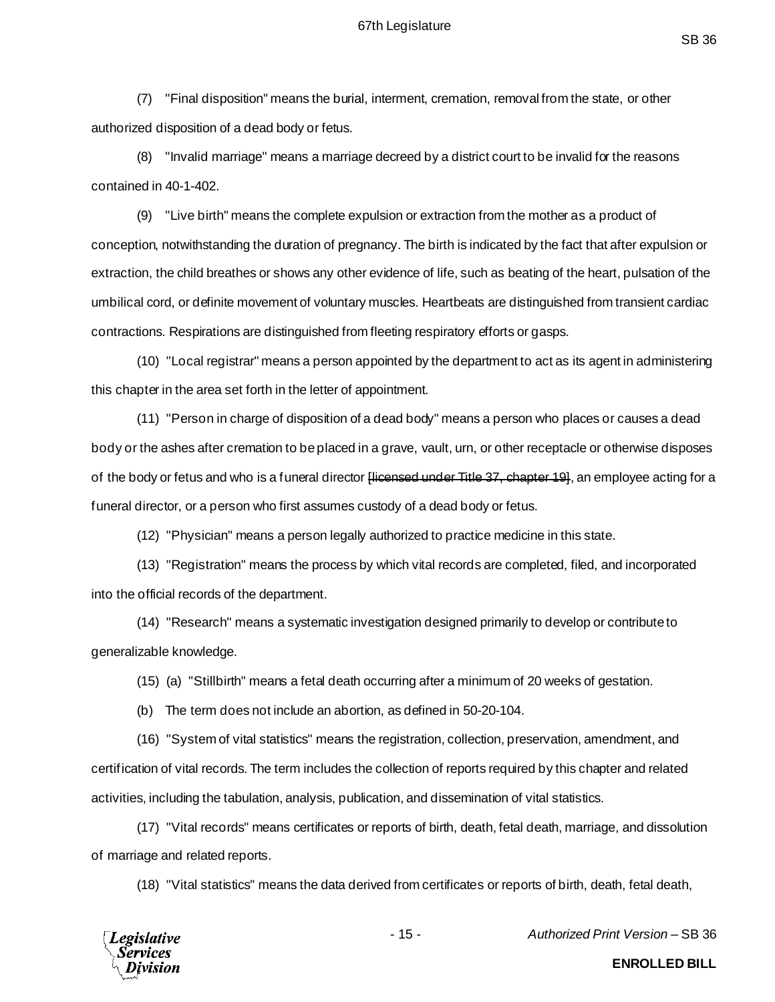(7) "Final disposition" means the burial, interment, cremation, removal from the state, or other authorized disposition of a dead body or fetus.

(8) "Invalid marriage" means a marriage decreed by a district court to be invalid for the reasons contained in 40-1-402.

(9) "Live birth" means the complete expulsion or extraction from the mother as a product of conception, notwithstanding the duration of pregnancy. The birth is indicated by the fact that after expulsion or extraction, the child breathes or shows any other evidence of life, such as beating of the heart, pulsation of the umbilical cord, or definite movement of voluntary muscles. Heartbeats are distinguished from transient cardiac contractions. Respirations are distinguished from fleeting respiratory efforts or gasps.

(10) "Local registrar" means a person appointed by the department to act as its agent in administering this chapter in the area set forth in the letter of appointment.

(11) "Person in charge of disposition of a dead body" means a person who places or causes a dead body or the ashes after cremation to be placed in a grave, vault, urn, or other receptacle or otherwise disposes of the body or fetus and who is a funeral director Hicensed under Title 37, chapter 191, an employee acting for a funeral director, or a person who first assumes custody of a dead body or fetus.

(12) "Physician" means a person legally authorized to practice medicine in this state.

(13) "Registration" means the process by which vital records are completed, filed, and incorporated into the official records of the department.

(14) "Research" means a systematic investigation designed primarily to develop or contribute to generalizable knowledge.

(15) (a) "Stillbirth" means a fetal death occurring after a minimum of 20 weeks of gestation.

(b) The term does not include an abortion, as defined in 50-20-104.

(16) "System of vital statistics" means the registration, collection, preservation, amendment, and certification of vital records. The term includes the collection of reports required by this chapter and related activities, including the tabulation, analysis, publication, and dissemination of vital statistics.

(17) "Vital records" means certificates or reports of birth, death, fetal death, marriage, and dissolution of marriage and related reports.

(18) "Vital statistics" means the data derived from certificates or reports of birth, death, fetal death,



- 15 - *Authorized Print Version* – SB 36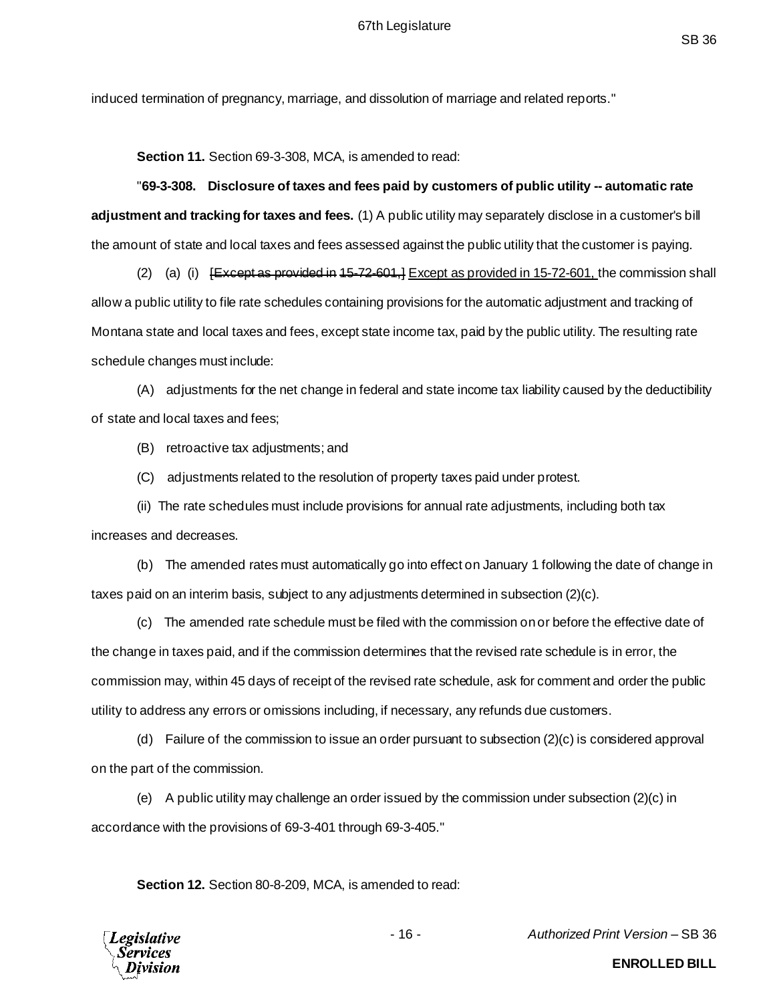induced termination of pregnancy, marriage, and dissolution of marriage and related reports."

**Section 11.** Section 69-3-308, MCA, is amended to read:

"**69-3-308. Disclosure of taxes and fees paid by customers of public utility -- automatic rate adjustment and tracking for taxes and fees.** (1) A public utility may separately disclose in a customer's bill the amount of state and local taxes and fees assessed against the public utility that the customer is paying.

(2) (a) (i)  $E \xrightarrow{K} E$  as provided in 15-72-601,  $E \xrightarrow{X} E$  as provided in 15-72-601, the commission shall allow a public utility to file rate schedules containing provisions for the automatic adjustment and tracking of Montana state and local taxes and fees, except state income tax, paid by the public utility. The resulting rate schedule changes must include:

(A) adjustments for the net change in federal and state income tax liability caused by the deductibility of state and local taxes and fees;

(B) retroactive tax adjustments; and

(C) adjustments related to the resolution of property taxes paid under protest.

(ii) The rate schedules must include provisions for annual rate adjustments, including both tax increases and decreases.

(b) The amended rates must automatically go into effect on January 1 following the date of change in taxes paid on an interim basis, subject to any adjustments determined in subsection (2)(c).

(c) The amended rate schedule must be filed with the commission on or before the effective date of the change in taxes paid, and if the commission determines that the revised rate schedule is in error, the commission may, within 45 days of receipt of the revised rate schedule, ask for comment and order the public utility to address any errors or omissions including, if necessary, any refunds due customers.

(d) Failure of the commission to issue an order pursuant to subsection (2)(c) is considered approval on the part of the commission.

(e) A public utility may challenge an order issued by the commission under subsection (2)(c) in accordance with the provisions of 69-3-401 through 69-3-405."

**Section 12.** Section 80-8-209, MCA, is amended to read:

**Legislative** Services

- 16 - *Authorized Print Version* – SB 36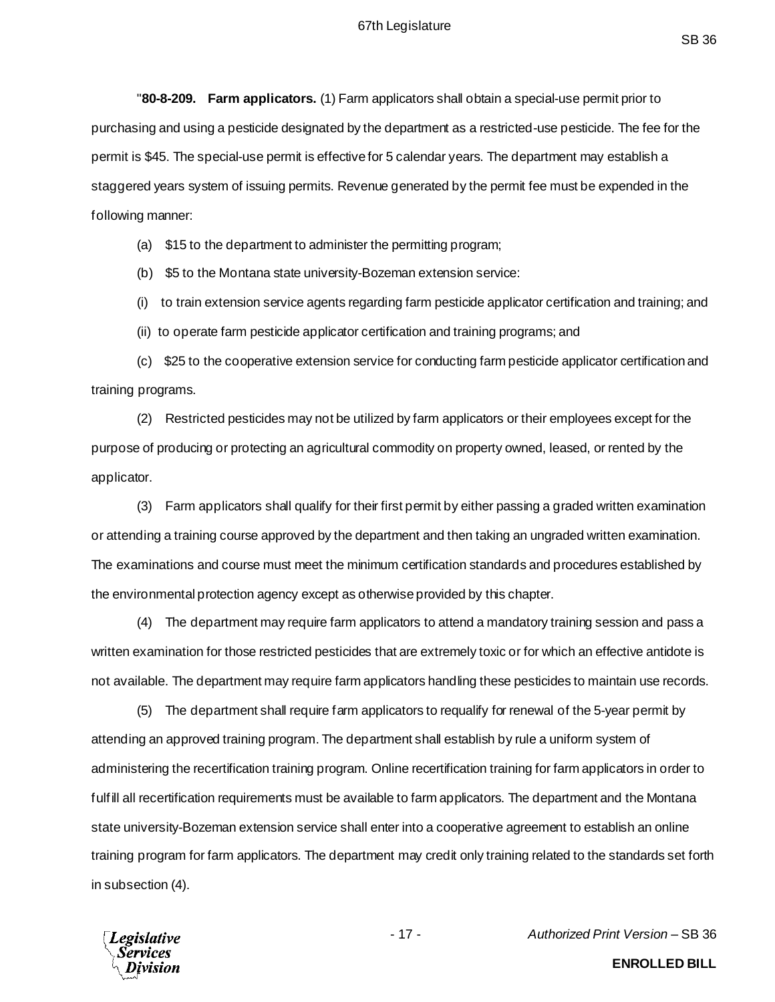"**80-8-209. Farm applicators.** (1) Farm applicators shall obtain a special-use permit prior to purchasing and using a pesticide designated by the department as a restricted-use pesticide. The fee for the permit is \$45. The special-use permit is effective for 5 calendar years. The department may establish a staggered years system of issuing permits. Revenue generated by the permit fee must be expended in the following manner:

(a) \$15 to the department to administer the permitting program;

(b) \$5 to the Montana state university-Bozeman extension service:

(i) to train extension service agents regarding farm pesticide applicator certification and training; and

(ii) to operate farm pesticide applicator certification and training programs; and

(c) \$25 to the cooperative extension service for conducting farm pesticide applicator certification and training programs.

(2) Restricted pesticides may not be utilized by farm applicators or their employees except for the purpose of producing or protecting an agricultural commodity on property owned, leased, or rented by the applicator.

(3) Farm applicators shall qualify for their first permit by either passing a graded written examination or attending a training course approved by the department and then taking an ungraded written examination. The examinations and course must meet the minimum certification standards and procedures established by the environmental protection agency except as otherwise provided by this chapter.

(4) The department may require farm applicators to attend a mandatory training session and pass a written examination for those restricted pesticides that are extremely toxic or for which an effective antidote is not available. The department may require farm applicators handling these pesticides to maintain use records.

(5) The department shall require farm applicators to requalify for renewal of the 5-year permit by attending an approved training program. The department shall establish by rule a uniform system of administering the recertification training program. Online recertification training for farm applicators in order to fulfill all recertification requirements must be available to farm applicators. The department and the Montana state university-Bozeman extension service shall enter into a cooperative agreement to establish an online training program for farm applicators. The department may credit only training related to the standards set forth in subsection (4).



- 17 - *Authorized Print Version* – SB 36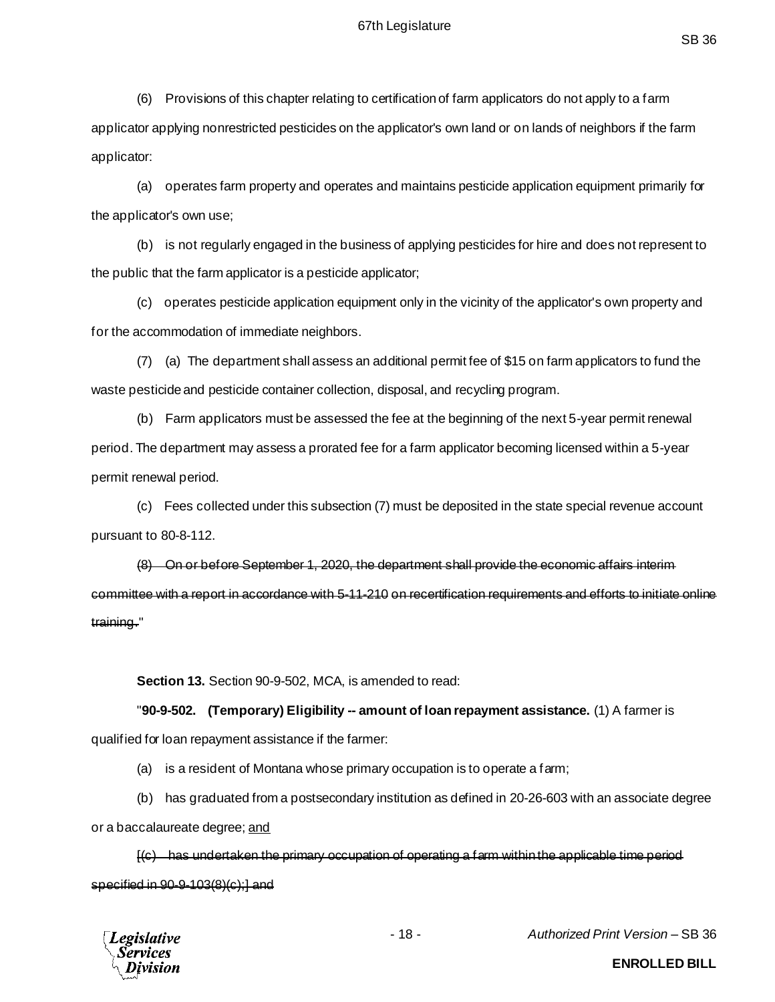(6) Provisions of this chapter relating to certification of farm applicators do not apply to a farm applicator applying nonrestricted pesticides on the applicator's own land or on lands of neighbors if the farm applicator:

(a) operates farm property and operates and maintains pesticide application equipment primarily for the applicator's own use;

(b) is not regularly engaged in the business of applying pesticides for hire and does not represent to the public that the farm applicator is a pesticide applicator;

(c) operates pesticide application equipment only in the vicinity of the applicator's own property and for the accommodation of immediate neighbors.

(7) (a) The department shall assess an additional permit fee of \$15 on farm applicators to fund the waste pesticide and pesticide container collection, disposal, and recycling program.

(b) Farm applicators must be assessed the fee at the beginning of the next 5-year permit renewal period. The department may assess a prorated fee for a farm applicator becoming licensed within a 5-year permit renewal period.

(c) Fees collected under this subsection (7) must be deposited in the state special revenue account pursuant to 80-8-112.

(8) On or before September 1, 2020, the department shall provide the economic affairs interim committee with a report in accordance with 5-11-210 on recertification requirements and efforts to initiate online training."

**Section 13.** Section 90-9-502, MCA, is amended to read:

"**90-9-502. (Temporary) Eligibility -- amount of loan repayment assistance.** (1) A farmer is

qualified for loan repayment assistance if the farmer:

- (a) is a resident of Montana whose primary occupation is to operate a farm;
- (b) has graduated from a postsecondary institution as defined in 20-26-603 with an associate degree

or a baccalaureate degree; and

[(c) has undertaken the primary occupation of operating a farm within the applicable time period specified in 90-9-103(8)(c);] and



- 18 - *Authorized Print Version* – SB 36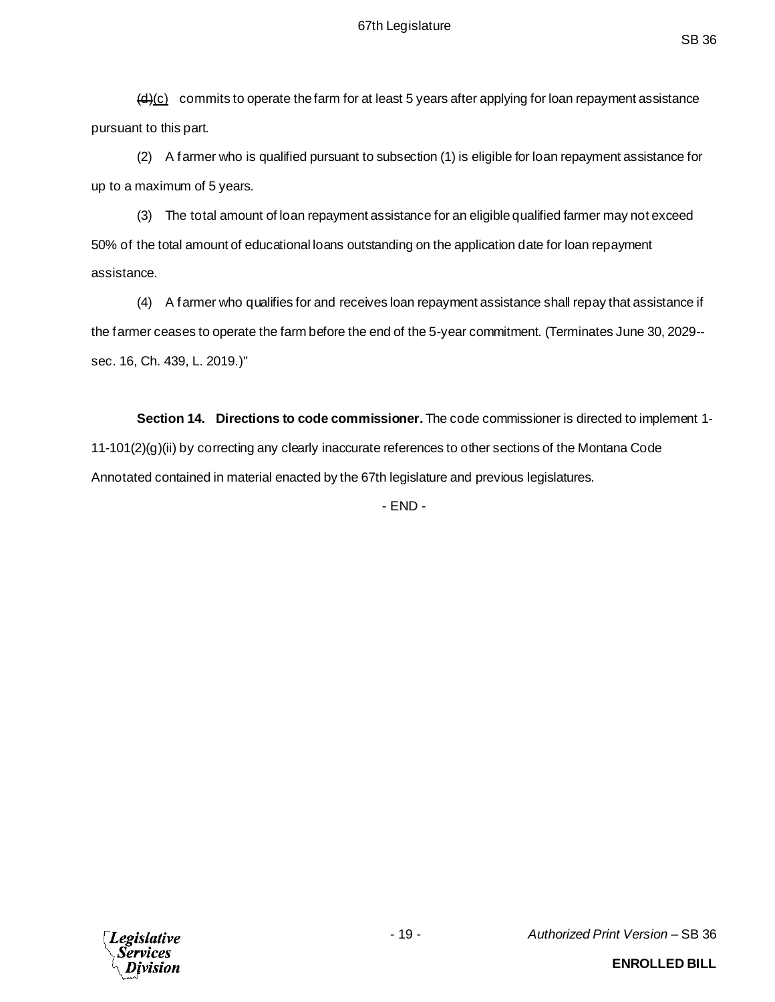$\frac{d}{dx}$  commits to operate the farm for at least 5 years after applying for loan repayment assistance pursuant to this part.

(2) A farmer who is qualified pursuant to subsection (1) is eligible for loan repayment assistance for up to a maximum of 5 years.

(3) The total amount of loan repayment assistance for an eligible qualified farmer may not exceed 50% of the total amount of educational loans outstanding on the application date for loan repayment assistance.

(4) A farmer who qualifies for and receives loan repayment assistance shall repay that assistance if the farmer ceases to operate the farm before the end of the 5-year commitment. (Terminates June 30, 2029- sec. 16, Ch. 439, L. 2019.)"

**Section 14. Directions to code commissioner.** The code commissioner is directed to implement 1- 11-101(2)(g)(ii) by correcting any clearly inaccurate references to other sections of the Montana Code Annotated contained in material enacted by the 67th legislature and previous legislatures.

- END -

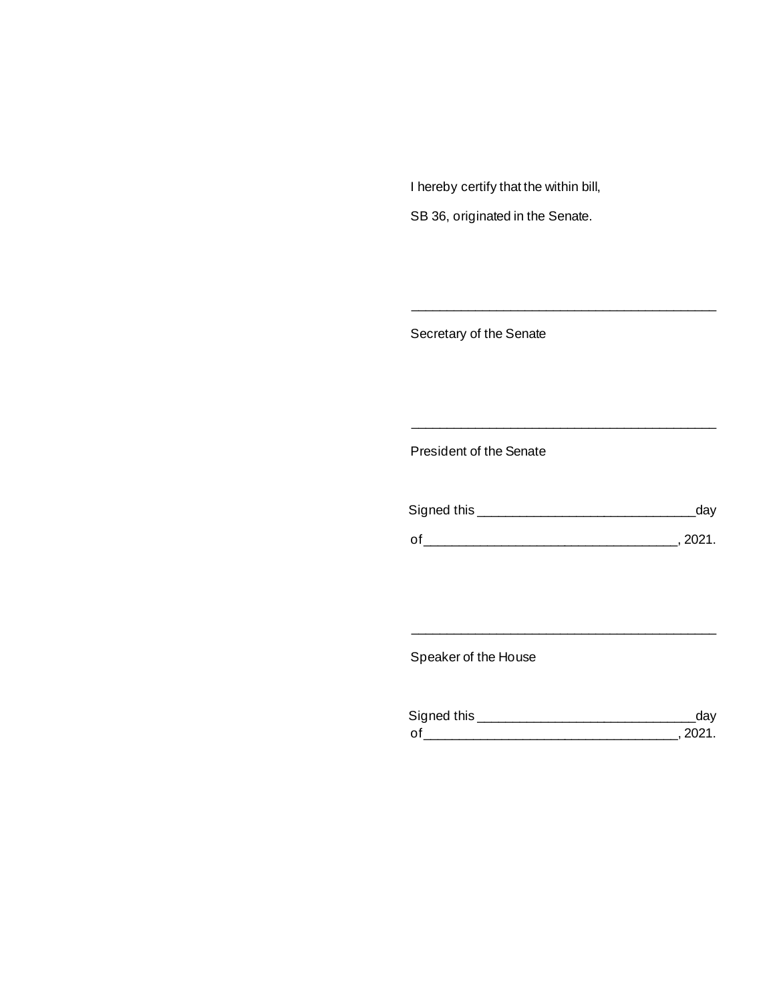I hereby certify that the within bill,

SB 36, originated in the Senate.

Secretary of the Senate

President of the Senate

| Signed this | day   |
|-------------|-------|
|             |       |
| Ωf          | 2021. |

\_\_\_\_\_\_\_\_\_\_\_\_\_\_\_\_\_\_\_\_\_\_\_\_\_\_\_\_\_\_\_\_\_\_\_\_\_\_\_\_\_\_\_

\_\_\_\_\_\_\_\_\_\_\_\_\_\_\_\_\_\_\_\_\_\_\_\_\_\_\_\_\_\_\_\_\_\_\_\_\_\_\_\_\_\_\_

Speaker of the House

| Signed this | day  |
|-------------|------|
| Ωf          | 2021 |

\_\_\_\_\_\_\_\_\_\_\_\_\_\_\_\_\_\_\_\_\_\_\_\_\_\_\_\_\_\_\_\_\_\_\_\_\_\_\_\_\_\_\_